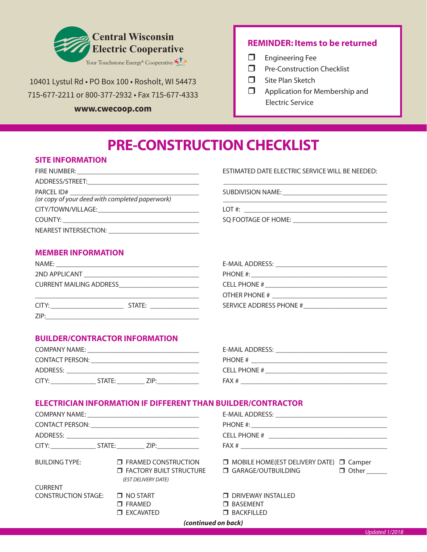

10401 Lystul Rd • PO Box 100 • Rosholt, WI 54473 715-677-2211 or 800-377-2932 • Fax 715-677-4333

#### **www.cwecoop.com**

#### **REMINDER: Items to be returned**

- $\Box$  Engineering Fee
- $\Box$  Pre-Construction Checklist
- $\Box$  Site Plan Sketch
- $\Box$  Application for Membership and Electric Service

# **PRE-CONSTRUCTION CHECKLIST**

#### **SITE INFORMATION**

| FIRE NUMBER:<br><u> 1980 - Johann Stein, marwolaethau a bhann an t-Alban ann an t-Alban an t-Alban ann an t-Alban ann an t-Alban an t-Alban ann an t-Alban ann an t-Alban ann an t-Alban ann an t-Alban ann an t-Alban ann an t-Alban ann an t-A</u> | ESTIMATED DATE ELECTRIC SERVICE WILL BE NEEDED: |
|------------------------------------------------------------------------------------------------------------------------------------------------------------------------------------------------------------------------------------------------------|-------------------------------------------------|
|                                                                                                                                                                                                                                                      |                                                 |
|                                                                                                                                                                                                                                                      |                                                 |
| (or copy of your deed with completed paperwork)                                                                                                                                                                                                      |                                                 |
| CITY/TOWN/VILLAGE: University of the CITY/TOWN/VILLAGE:                                                                                                                                                                                              |                                                 |
|                                                                                                                                                                                                                                                      |                                                 |
|                                                                                                                                                                                                                                                      |                                                 |

ESTIMATED DATE ELECTRIC SERVICE WILL BE NEEDED:

## **MEMBER INFORMATION**

| NAME:                                   |
|-----------------------------------------|
| <b>SOLUTION APPLICANT AND APPLICANT</b> |
| <b>CURRENT MAILING ADDRESS</b>          |
|                                         |

CITY: \_\_\_\_\_\_\_\_\_\_\_\_\_\_\_\_\_\_\_\_\_ STATE: \_\_\_\_\_\_\_\_\_\_\_\_\_\_ SERVICE ADDRESS PHONE #\_\_\_\_\_\_\_\_\_\_\_\_\_\_\_\_\_\_\_\_\_\_\_\_  $ZIP:$ 

NAME: \_\_\_\_\_\_\_\_\_\_\_\_\_\_\_\_\_\_\_\_\_\_\_\_\_\_\_\_\_\_\_\_\_\_\_\_\_\_\_\_\_ E-MAIL ADDRESS: \_\_\_\_\_\_\_\_\_\_\_\_\_\_\_\_\_\_\_\_\_\_\_\_\_\_\_\_\_\_\_\_ 2ND APPLICANT \_\_\_\_\_\_\_\_\_\_\_\_\_\_\_\_\_\_\_\_\_\_\_\_\_\_\_\_\_\_\_\_\_ PHONE #: \_\_\_\_\_\_\_\_\_\_\_\_\_\_\_\_\_\_\_\_\_\_\_\_\_\_\_\_\_\_\_\_\_\_\_\_\_\_\_ CELL PHONE #  $\overline{a}$ \_\_\_\_\_\_\_\_\_\_\_\_\_\_\_\_\_\_\_\_\_\_\_\_\_\_\_\_\_\_\_\_\_\_\_\_\_\_\_\_\_\_\_\_\_\_\_ OTHER PHONE # \_\_\_\_\_\_\_\_\_\_\_\_\_\_\_\_\_\_\_\_\_\_\_\_\_\_\_\_\_\_\_\_\_

## **BUILDER/CONTRACTOR INFORMATION**

| COMPANY NAME:          |        |      | E-MAIL ADDRESS:     |
|------------------------|--------|------|---------------------|
| <b>CONTACT PERSON:</b> |        |      | PHONE #             |
| ADDRESS:               |        |      | <b>CELL PHONE #</b> |
| CITY:                  | STATE: | 7IP· | FAX #               |

| E-MAIL ADDRESS: |  |
|-----------------|--|
| PHONE #         |  |
| CELL PHONE #    |  |
| FAX#            |  |

#### **ELECTRICIAN INFORMATION IF DIFFERENT THAN BUILDER/CONTRACTOR**

|                            | BUILDING TYPE: □ FRAMED CONSTRUCTION<br><b>T</b> FACTORY BUILT STRUCTURE<br>(EST DELIVERY DATE) | $\Box$ MOBILE HOME(EST DELIVERY DATE) $\Box$ Camper<br>□ GARAGE/OUTBUILDING □ Other |  |  |
|----------------------------|-------------------------------------------------------------------------------------------------|-------------------------------------------------------------------------------------|--|--|
| <b>CURRENT</b>             |                                                                                                 |                                                                                     |  |  |
| <b>CONSTRUCTION STAGE:</b> | $\Box$ NO START                                                                                 | <b>D</b> DRIVEWAY INSTALLED                                                         |  |  |
|                            | $\Box$ FRAMED                                                                                   | <b>O</b> BASEMENT                                                                   |  |  |
|                            | $\square$ EXCAVATED                                                                             | <b>T BACKFILLED</b>                                                                 |  |  |
|                            | (continued on back)                                                                             |                                                                                     |  |  |